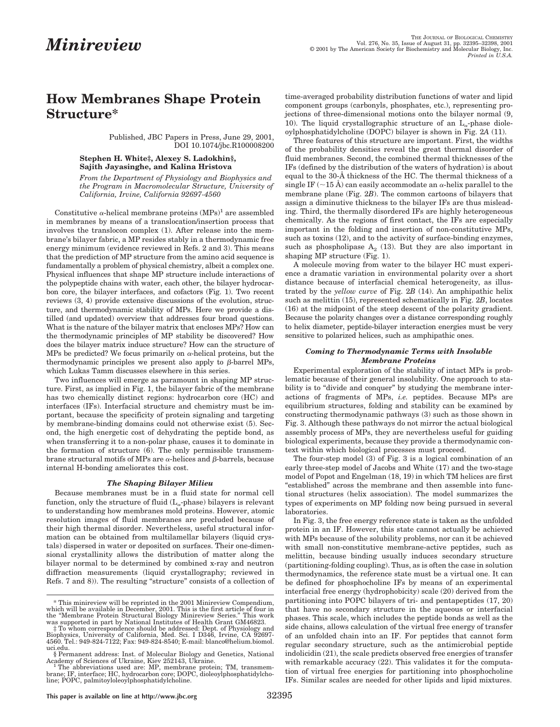# **How Membranes Shape Protein Structure\***

Published, JBC Papers in Press, June 29, 2001, DOI 10.1074/jbc.R100008200

**Stephen H. White‡, Alexey S. Ladokhin§, Sajith Jayasinghe, and Kalina Hristova**

*From the Department of Physiology and Biophysics and the Program in Macromolecular Structure, University of California, Irvine, California 92697-4560*

Constitutive  $\alpha$ -helical membrane proteins  $(MPs)^1$  are assembled in membranes by means of a translocation/insertion process that involves the translocon complex (1). After release into the membrane's bilayer fabric, a MP resides stably in a thermodynamic free energy minimum (evidence reviewed in Refs. 2 and 3). This means that the prediction of MP structure from the amino acid sequence is fundamentally a problem of physical chemistry, albeit a complex one. Physical influences that shape MP structure include interactions of the polypeptide chains with water, each other, the bilayer hydrocarbon core, the bilayer interfaces, and cofactors (Fig. 1). Two recent reviews (3, 4) provide extensive discussions of the evolution, structure, and thermodynamic stability of MPs. Here we provide a distilled (and updated) overview that addresses four broad questions. What is the nature of the bilayer matrix that encloses MPs? How can the thermodynamic principles of MP stability be discovered? How does the bilayer matrix induce structure? How can the structure of MPs be predicted? We focus primarily on  $\alpha$ -helical proteins, but the thermodynamic principles we present also apply to  $\beta$ -barrel MPs, which Lukas Tamm discusses elsewhere in this series.

Two influences will emerge as paramount in shaping MP structure. First, as implied in Fig. 1, the bilayer fabric of the membrane has two chemically distinct regions: hydrocarbon core (HC) and interfaces (IFs). Interfacial structure and chemistry must be important, because the specificity of protein signaling and targeting by membrane-binding domains could not otherwise exist (5). Second, the high energetic cost of dehydrating the peptide bond, as when transferring it to a non-polar phase, causes it to dominate in the formation of structure (6). The only permissible transmembrane structural motifs of MPs are  $\alpha$ -helices and  $\beta$ -barrels, because internal H-bonding ameliorates this cost.

### *The Shaping Bilayer Milieu*

Because membranes must be in a fluid state for normal cell function, only the structure of fluid  $(L_{\sim}$ -phase) bilayers is relevant to understanding how membranes mold proteins. However, atomic resolution images of fluid membranes are precluded because of their high thermal disorder. Nevertheless, useful structural information can be obtained from multilamellar bilayers (liquid crystals) dispersed in water or deposited on surfaces. Their one-dimensional crystallinity allows the distribution of matter along the bilayer normal to be determined by combined x-ray and neutron diffraction measurements (liquid crystallography; reviewed in Refs. 7 and 8)). The resulting "structure" consists of a collection of

time-averaged probability distribution functions of water and lipid component groups (carbonyls, phosphates, etc.), representing projections of three-dimensional motions onto the bilayer normal (9, 10). The liquid crystallographic structure of an  $L_{\alpha}$ -phase dioleoylphosphatidylcholine (DOPC) bilayer is shown in Fig. 2*A* (11).

Three features of this structure are important. First, the widths of the probability densities reveal the great thermal disorder of fluid membranes. Second, the combined thermal thicknesses of the IFs (defined by the distribution of the waters of hydration) is about equal to the 30-Å thickness of the HC. The thermal thickness of a single IF ( $\sim$ 15 Å) can easily accommodate an  $\alpha$ -helix parallel to the membrane plane (Fig. 2*B*). The common cartoons of bilayers that assign a diminutive thickness to the bilayer IFs are thus misleading. Third, the thermally disordered IFs are highly heterogeneous chemically. As the regions of first contact, the IFs are especially important in the folding and insertion of non-constitutive MPs, such as toxins (12), and to the activity of surface-binding enzymes, such as phospholipase  $A_2$  (13). But they are also important in shaping MP structure (Fig. 1).

A molecule moving from water to the bilayer HC must experience a dramatic variation in environmental polarity over a short distance because of interfacial chemical heterogeneity, as illustrated by the *yellow curve* of Fig. 2*B* (14). An amphipathic helix such as melittin (15), represented schematically in Fig. 2*B*, locates (16) at the midpoint of the steep descent of the polarity gradient. Because the polarity changes over a distance corresponding roughly to helix diameter, peptide-bilayer interaction energies must be very sensitive to polarized helices, such as amphipathic ones.

## *Coming to Thermodynamic Terms with Insoluble Membrane Proteins*

Experimental exploration of the stability of intact MPs is problematic because of their general insolubility. One approach to stability is to "divide and conquer" by studying the membrane interactions of fragments of MPs, *i.e.* peptides. Because MPs are equilibrium structures, folding and stability can be examined by constructing thermodynamic pathways (3) such as those shown in Fig. 3. Although these pathways do not mirror the actual biological assembly process of MPs, they are nevertheless useful for guiding biological experiments, because they provide a thermodynamic context within which biological processes must proceed.

The four-step model (3) of Fig. 3 is a logical combination of an early three-step model of Jacobs and White (17) and the two-stage model of Popot and Engelman (18, 19) in which TM helices are first "established" across the membrane and then assemble into functional structures (helix association). The model summarizes the types of experiments on MP folding now being pursued in several laboratories.

In Fig. 3, the free energy reference state is taken as the unfolded protein in an IF. However, this state cannot actually be achieved with MPs because of the solubility problems, nor can it be achieved with small non-constitutive membrane-active peptides, such as melittin, because binding usually induces secondary structure (partitioning-folding coupling). Thus, as is often the case in solution thermodynamics, the reference state must be a virtual one. It can be defined for phosphocholine IFs by means of an experimental interfacial free energy (hydrophobicity) scale (20) derived from the partitioning into POPC bilayers of tri- and pentapeptides (17, 20) that have no secondary structure in the aqueous or interfacial phases. This scale, which includes the peptide bonds as well as the side chains, allows calculation of the virtual free energy of transfer of an unfolded chain into an IF. For peptides that cannot form regular secondary structure, such as the antimicrobial peptide indolicidin (21), the scale predicts observed free energies of transfer with remarkable accuracy (22). This validates it for the computation of virtual free energies for partitioning into phosphocholine IFs. Similar scales are needed for other lipids and lipid mixtures.

<sup>\*</sup> This minireview will be reprinted in the 2001 Minireview Compendium, which will be available in December, 2001. This is the first article of four in the "Membrane Protein Structural Biology Minireview Series." This work

was supported in part by National Institutes of Health Grant GM46823. ‡ To whom correspondence should be addressed: Dept. of Physiology and Biophysics, University of California, Med. Sci. I D346, Irvine, CA 92697- 4560. Tel.: 949-824-7122; Fax: 949-824-8540; E-mail: blanco@helium.biomol. uci.edu.

<sup>§</sup> Permanent address: Inst. of Molecular Biology and Genetics, National

Academy of Sciences of Ukraine, Kiev 252143, Ukraine.<br>The abbreviations used are: MP, membrane protein; TM, transmem-<br>brane; IF, interface; HC, hydrocarbon core; DOPC, dioleoylphosphatidylcholine; POPC, palmitoyloleoylphosphatidylcholine.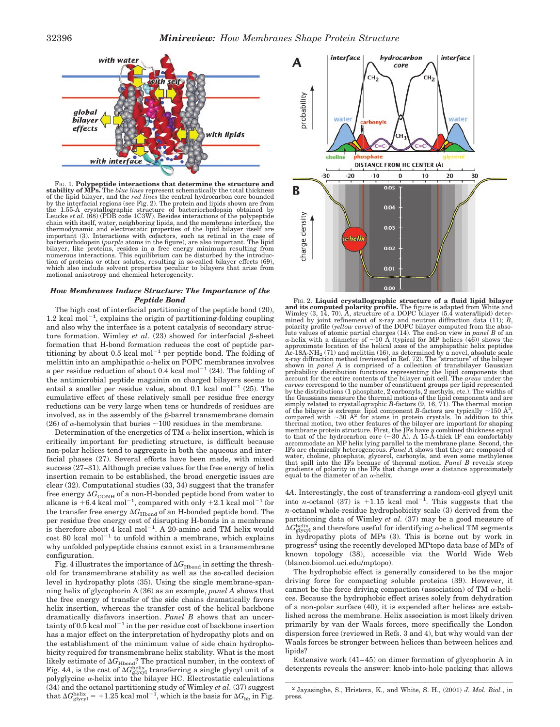

FIG. 1. **Polypeptide interactions that determine the structure and stability of MPs.** The *blue lines* represent schematically the total thickness<br>of the lipid bilayer, and the *red lines* the central hydrocarbon core bounded<br>by the interfacial regions (see Fig. 2). The protein and lipid the 1.55-Å crystallographic structure of bacteriorhodopsin obtained by Leucke *et al*. (68) (PDB code 1C3W). Besides interactions of the polypeptide chain with itself, water, neighboring lipids, and the membrane interface, the thermodynamic and electrostatic properties of the lipid bilayer itself are important (3). Interactions with cofactors, such as retinal in the case of bacteriorhodopsin (*purple* atoms in the figure), are also important. The lipid bilayer, like proteins, resides in a free energy minimum resulting from<br>numerous interactions. This equilibrium can be disturbed by the introduc-<br>tion of proteins or other solutes, resulting in so-called bilayer effects (6 which also include solvent properties peculiar to bilayers that arise from motional anisotropy and chemical heterogeneity.

#### *How Membranes Induce Structure: The Importance of the Peptide Bond*

The high cost of interfacial partitioning of the peptide bond (20),  $1.2$  kcal mol<sup> $-1$ </sup>, explains the origin of partitioning-folding coupling and also why the interface is a potent catalysis of secondary structure formation. Wimley *et al.*  $(23)$  showed for interfacial  $\beta$ -sheet formation that H-bond formation reduces the cost of peptide partitioning by about 0.5 kcal  $\text{mol}^{-1}$  per peptide bond. The folding of melittin into an amphipathic  $\alpha$ -helix on POPC membranes involves a per residue reduction of about 0.4 kcal mol<sup> $-1$ </sup> (24). The folding of the antimicrobial peptide magainin on charged bilayers seems to entail a smaller per residue value, about  $0.1$  kcal mol<sup>-1</sup> (25). The cumulative effect of these relatively small per residue free energy reductions can be very large when tens or hundreds of residues are involved, as in the assembly of the  $\beta$ -barrel transmembrane domain (26) of  $\alpha$ -hemolysin that buries  $\sim$ 100 residues in the membrane.

Determination of the energetics of TM  $\alpha$ -helix insertion, which is critically important for predicting structure, is difficult because non-polar helices tend to aggregate in both the aqueous and interfacial phases (27). Several efforts have been made, with mixed success (27–31). Although precise values for the free energy of helix insertion remain to be established, the broad energetic issues are clear (32). Computational studies (33, 34) suggest that the transfer free energy  $\Delta G_{\rm COMP}$  of a non-H-bonded peptide bond from water to alkane is  $+6.4$  kcal mol<sup>-1</sup>, compared with only  $+2.1$  kcal mol<sup>-1</sup> for the transfer free energy  $\Delta G_{\rm Hbond}$  of an H-bonded peptide bond. The per residue free energy cost of disrupting H-bonds in a membrane is therefore about 4 kcal mol<sup>-1</sup>. A 20-amino acid TM helix would  $\cos t$  80 kcal mol<sup>-1</sup> to unfold within a membrane, which explains why unfolded polypeptide chains cannot exist in a transmembrane configuration.

Fig. 4 illustrates the importance of  $\Delta G_{\rm Hbond}$  in setting the threshold for transmembrane stability as well as the so-called decision level in hydropathy plots (35). Using the single membrane-spanning helix of glycophorin A (36) as an example, *panel A* shows that the free energy of transfer of the side chains dramatically favors helix insertion, whereas the transfer cost of the helical backbone dramatically disfavors insertion. *Panel B* shows that an uncertainty of  $0.5$  kcal mol<sup>-1</sup> in the per residue cost of backbone insertion has a major effect on the interpretation of hydropathy plots and on the establishment of the minimum value of side chain hydrophobicity required for transmembrane helix stability. What is the most likely estimate of  $\Delta G_{\rm Hbond}$ ? The practical number, in the context of Fig. 4A, is the cost of  $\Delta G_{\text{glycyl}}^{\text{helix}}$  transferring a single glycyl unit of a polyglycine  $\alpha$ -helix into the bilayer HC. Electrostatic calculations (34) and the octanol partitioning study of Wimley *et al.* (37) suggest that  $\Delta G_{\text{glycyl}}^{\text{helix}} = +1.25$  kcal mol<sup>-1</sup>, which is the basis for  $\Delta G_{\text{bb}}$  in Fig.



Fr., 2. Liquid crystallographic structure of a fluid lipid bilayer<br>and its computed polarity profile. The figure is adapted from White and<br>Wimley (3, 14, 70). A, structure of a DOPC bilayer (5.4 waters/lipid) determined by joint refinement of x-ray and neutron diffraction data (11); *B*, polarity profile (*yellow curve*) of the DOPC bilayer computed from the abso-<br>lute values of atomic partial charges (14). The end-on view in *panel*  $\alpha$ -helix with a diameter of  $\sim$ 10 Å (typical for MP helices (46)) shows the approximate location of the helical axes of the amphipathic helix peptides Ac-18A-NH<sub>2</sub> (71) and melittin (16), as determined by a novel, absolute scale<br>x-ray diffraction method (reviewed in Ref. 72). The "structure" of the bilayer<br>shown in *panel A* is comprised of a collection of transbilayer G probability distribution functions representing the lipid components that account for the entire contents of the bilayer unit cell. The *areas* under the *curves* correspond to the number of constituent groups per lipid represented by the distributions (1 phosphate, 2 carbonyls, 2 methyls, etc.). The widths of the Gaussians measure the thermal motions of the lipid components and are simply related to crystallographic *B*-factors (9, 16, 71). The thermal motion<br>of the bilayer is extreme: lipid component *B*-factors are typically  $\sim$ 150 Å<sup>2</sup>,<br>compared with  $\sim$ 30 Å<sup>2</sup> for atoms in protein crystals. In membrane protein structure. First, the IFs have a combined thickness equal to that of the hydrocarbon core (30 Å). A 15-Å-thick IF can comfortably accommodate an MP helix lying parallel to the membrane plane. Second, the IFs are chemically heterogeneous. *Panel A* shows that they are composed of water, choline, phosphate, glycerol, carbonyls, and even some methylenes<br>that spill into the IFs because of thermal motion. *Panel B* reveals steep<br>gradients of polarity in the IFs that change over a distance approximately equal to the diameter of an  $\alpha$ -helix.

4*A*. Interestingly, the cost of transferring a random-coil glycyl unit into *n*-octanol (37) is  $+1.15$  kcal mol<sup>-1</sup>. This suggests that the *n*-octanol whole-residue hydrophobicity scale (3) derived from the partitioning data of Wimley *et al.* (37) may be a good measure of  $\Delta G_{\rm glycyl}^{\rm helix}$  and therefore useful for identifying  $\alpha$ -helical TM segments in hydropathy plots of MPs (3). This is borne out by work in progress<sup>2</sup> using the recently developed MPtopo data base of MPs of known topology (38), accessible via the World Wide Web (blanco.biomol.uci.edu/mptopo).

The hydrophobic effect is generally considered to be the major driving force for compacting soluble proteins (39). However, it cannot be the force driving compaction (association) of TM  $\alpha$ -helices. Because the hydrophobic effect arises solely from dehydration of a non-polar surface (40), it is expended after helices are established across the membrane. Helix association is most likely driven primarily by van der Waals forces, more specifically the London dispersion force (reviewed in Refs. 3 and 4), but why would van der Waals forces be stronger between helices than between helices and lipids?

Extensive work (41–45) on dimer formation of glycophorin A in detergents reveals the answer: knob-into-hole packing that allows

<sup>2</sup> Jayasinghe, S., Hristova, K., and White, S. H., (2001) *J. Mol. Biol.*, in press.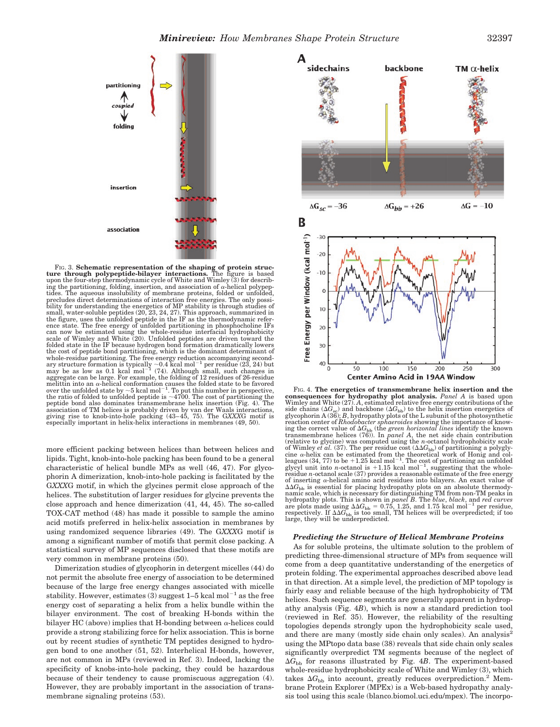

FIG. 3. **Schematic representation of the shaping of protein struc-ture through polypeptide-bilayer interactions.** The figure is based upon the four-step thermodynamic cycle of White and Wimley (3) for describing the partitioning, folding, insertion, and association of  $\alpha$ -helical polypep-tides. The aqueous insolubility of membrane proteins, folded or unfolded, precludes direct determinations of interaction free energies. The only possibility for understanding the energetics of MP stability is through studies of small, water-soluble peptides (20, 23, 24, 27). This approach, summarized in the figure, uses the unfolded peptide in the IF as the thermodynamic reference state. The free energy of unfolded partitioning in phosphocholine IFs can now be estimated using the whole-residue interfacial hydrophobicity scale of Wimley and White (20). Unfolded peptides are driven toward the folded state in the IF because hydrogen bond formation dramatically lowers the cost of peptide bond partitioning, which is the dominant determinant of whole-residue partitioning. The free energy reduction accompanying secondary structure formation is typically  $\sim 0.4$  kcal mol<sup>-1</sup> per residue (23, 24) but may be as low as 0.1 kcal mol<sup>-1</sup> (74). Although small, such cha melittin into an α-helical conformation causes the folded state to be favored<br>over the unfolded state by ~5 kcal mol<sup>−1</sup>. To put this number in perspective,<br>the ratio of folded to unfolded peptide is ~4700. The cost of par peptide bond also dominates transmembrane helix insertion (Fig. 4). The<br>association of TM helices is probably driven by van der Waals interactions,<br>giving rise to knob-into-hole packing (43–45, 75). The G*XXX*G motif is especially important in helix-helix interactions in membranes (49, 50).

more efficient packing between helices than between helices and lipids. Tight, knob-into-hole packing has been found to be a general characteristic of helical bundle MPs as well (46, 47). For glycophorin A dimerization, knob-into-hole packing is facilitated by the G*XXX*G motif, in which the glycines permit close approach of the helices. The substitution of larger residues for glycine prevents the close approach and hence dimerization (41, 44, 45). The so-called TOX-CAT method (48) has made it possible to sample the amino acid motifs preferred in helix-helix association in membranes by using randomized sequence libraries (49). The G*XXX*G motif is among a significant number of motifs that permit close packing. A statistical survey of MP sequences disclosed that these motifs are very common in membrane proteins (50).

Dimerization studies of glycophorin in detergent micelles (44) do not permit the absolute free energy of association to be determined because of the large free energy changes associated with micelle stability. However, estimates (3) suggest  $1-5$  kcal mol<sup>-1</sup> as the free energy cost of separating a helix from a helix bundle within the bilayer environment. The cost of breaking H-bonds within the bilayer HC (above) implies that H-bonding between  $\alpha$ -helices could provide a strong stabilizing force for helix association. This is borne out by recent studies of synthetic TM peptides designed to hydrogen bond to one another (51, 52). Interhelical H-bonds, however, are not common in MPs (reviewed in Ref. 3). Indeed, lacking the specificity of knobs-into-hole packing, they could be hazardous because of their tendency to cause promiscuous aggregation (4). However, they are probably important in the association of transmembrane signaling proteins (53).



Fig. 4. The energetics of transmembrane helix insertion and the consequences for hydropathy plot analysis. *Panel A* is based upon Wimley and White (27). *A*, estimated relative free energy contributions of the side chain reaction center of *Rhodobacter sphaeroides* showing the importance of know-<br>ing the correct value of 4G<sub>bb</sub> (the *green horizontal lines* identify the known<br>transmembrane helices (76)). In *panel A*, the net side chain co (relative to glycine) was computed using the *n*-octanol hydrophobicity scale of Wimley *et al.* (37). The per residue cost (*G*bb) of partitioning a polyglycine α-helix can be estimated from the theoretical work of Honig and col-<br>leagues (34, 77) to be +1.25 kcal mol<sup>–1</sup>. The cost of partitioning an unfolded<br>glycyl unit into *n-*octanol is +1.15 kcal mol<sup>–1</sup>, suggesting that residue *n*-octanol scale (37) provides a reasonable estimate of the free energy of inserting  $\alpha$ -helical amino acid residues into bilayers. An exact value of  $\Delta\Delta G_{\rm bb}$  is essential for placing hydropathy plots on an absolute thermodynamic scale, which is necessary for distinguishing TM from non-TM peaks in hydropathy plots. This is shown in *panel B*. The *blue*, *black*, and *red curves* are plots made using  $\Delta\Delta G_{\rm bb} = 0.75, 1.25$ , and 1.75 kcal mol<sup>-1</sup> per residue, respectively. If  $\Delta\Delta G_{\rm bb}$  is too small, TM helices will be overpredicted; if too large, they will be underpredicted.

#### *Predicting the Structure of Helical Membrane Proteins*

As for soluble proteins, the ultimate solution to the problem of predicting three-dimensional structure of MPs from sequence will come from a deep quantitative understanding of the energetics of protein folding. The experimental approaches described above lead in that direction. At a simple level, the prediction of MP topology is fairly easy and reliable because of the high hydrophobicity of TM helices. Such sequence segments are generally apparent in hydropathy analysis (Fig. 4*B*), which is now a standard prediction tool (reviewed in Ref. 35). However, the reliability of the resulting topologies depends strongly upon the hydrophobicity scale used, and there are many (mostly side chain only scales). An analysis<sup>5</sup> using the MPtopo data base (38) reveals that side chain only scales significantly overpredict TM segments because of the neglect of  $\Delta G_{\text{bh}}$  for reasons illustrated by Fig. 4*B*. The experiment-based whole-residue hydrophobicity scale of White and Wimley (3), which takes  $\Delta G_{\rm bb}$  into account, greatly reduces overprediction.<sup>2</sup> Membrane Protein Explorer (MPEx) is a Web-based hydropathy analysis tool using this scale (blanco.biomol.uci.edu/mpex). The incorpo-